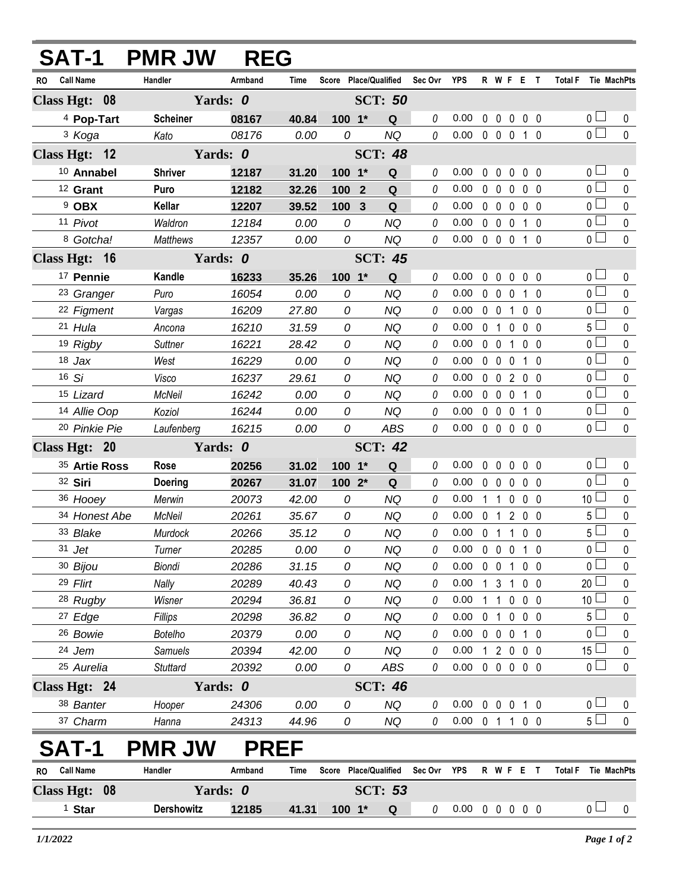| SAT-1                   | <b>PMR JW</b>     | <b>REG</b> |                |                |                                   |          |                                    |   |                   |              |                   |                     |                                  |                  |
|-------------------------|-------------------|------------|----------------|----------------|-----------------------------------|----------|------------------------------------|---|-------------------|--------------|-------------------|---------------------|----------------------------------|------------------|
| <b>Call Name</b><br>RO. | Handler           | Armband    | Time           |                | Score Place/Qualified Sec Ovr YPS |          |                                    |   | R W F E T         |              |                   | Total F Tie MachPts |                                  |                  |
| Class Hgt: 08           | Yards: 0          |            |                | <b>SCT: 50</b> |                                   |          |                                    |   |                   |              |                   |                     |                                  |                  |
| <sup>4</sup> Pop-Tart   | <b>Scheiner</b>   | 08167      | 40.84          | 100 1*         | Q                                 | 0        | 0.00                               |   | $0\quad 0$        |              | $0\quad 0\quad 0$ |                     | 0 <sub>1</sub>                   | 0                |
| <sup>3</sup> Koga       | Kato              | 08176      | 0.00           | 0              | <b>NQ</b>                         | 0        | 0.00                               |   | $0\quad 0\quad 0$ |              | 1 0               |                     | $\overline{0}$                   | $\mathbf{0}$     |
| Class Hgt: 12           | Yards: 0          |            |                |                | <b>SCT: 48</b>                    |          |                                    |   |                   |              |                   |                     |                                  |                  |
| 10 Annabel              | <b>Shriver</b>    | 12187      | 31.20          | 100 1*         | Q                                 | 0        | 0.00                               |   | $0\quad 0$        | $\mathbf 0$  | 0 <sub>0</sub>    |                     | 0 <sub>0</sub>                   | $\mathbf{0}$     |
| <sup>12</sup> Grant     | Puro              | 12182      | 32.26          | 100 2          | Q                                 | $\theta$ | 0.00                               |   | $0\quad 0$        | $\mathbf 0$  | 0 <sub>0</sub>    |                     | $\overline{0}$                   | $\mathbf 0$      |
| 9 OBX                   | <b>Kellar</b>     | 12207      | 39.52          | 100            | $\mathbf{3}$<br>Q                 | 0        | 0.00                               |   | $0\quad 0$        | $\mathbf 0$  | $0\quad 0$        |                     | 0 <sub>0</sub>                   | $\mathbf 0$      |
| 11 Pivot                | Waldron           | 12184      | 0.00           | 0              | <b>NQ</b>                         | $\theta$ | 0.00                               |   | $0\quad 0$        | $\mathbf 0$  | $1\quad0$         |                     | $\overline{0}$                   | $\pmb{0}$        |
| 8 Gotcha!               | Matthews          | 12357      | 0.00           | 0              | <b>NQ</b>                         | 0        | 0.00                               |   | $0\quad 0\quad 0$ |              | 1 0               |                     | $\overline{0}$                   | $\mathbf 0$      |
| Class Hgt: 16           | Yards: 0          |            | <b>SCT: 45</b> |                |                                   |          |                                    |   |                   |              |                   |                     |                                  |                  |
| 17 Pennie               | Kandle            | 16233      | 35.26          | $100 - 1*$     | Q                                 | 0        | 0.00                               |   | $0\quad 0$        |              | $0\quad 0\quad 0$ |                     | 0 <sub>0</sub>                   | 0                |
| <sup>23</sup> Granger   | Puro              | 16054      | 0.00           | 0              | <b>NQ</b>                         | 0        | 0.00                               |   | $0\quad 0$        | $\mathbf 0$  | $1\quad0$         |                     | 0 <sub>0</sub>                   | $\mathbf 0$      |
| 22 Figment              | Vargas            | 16209      | 27.80          | 0              | <b>NQ</b>                         | 0        | 0.00                               |   | $0\quad 0$        | $\mathbf{1}$ | 0 <sub>0</sub>    |                     | $\overline{0}$                   | $\mathbf 0$      |
| 21 Hula                 | Ancona            | 16210      | 31.59          | 0              | NQ                                | 0        | 0.00                               |   | 0 <sub>1</sub>    |              | $0\quad 0\quad 0$ |                     | $5\perp$                         | $\mathbf 0$      |
| 19 Rigby                | Suttner           | 16221      | 28.42          | 0              | NQ                                | 0        | 0.00                               |   | $0\quad 0$        | $\mathbf{1}$ | 0 <sub>0</sub>    |                     | $\overline{0}$                   | $\mathbf 0$      |
| $18$ Jax                | West              | 16229      | 0.00           | 0              | NQ                                | 0        | 0.00                               |   | $0\quad 0$        | $\mathbf 0$  | $1\quad0$         |                     | 0 <sub>0</sub>                   | $\mathbf{0}$     |
| $16$ Si                 | Visco             | 16237      | 29.61          | $\mathcal{O}$  | NQ                                | 0        | 0.00                               |   | $0\quad 0$        |              | 2 0 0             |                     | 0 <sup>1</sup>                   | $\mathbf 0$      |
| 15 Lizard               | McNeil            | 16242      | 0.00           | 0              | NQ                                | 0        | 0.00                               |   | $0\quad 0$        | $\mathbf 0$  | 1 0               |                     | 0 <sub>1</sub>                   | $\mathbf 0$      |
| 14 Allie Oop            | Koziol            | 16244      | 0.00           | 0              | NQ                                | 0        | 0.00                               |   | $0\quad 0\quad 0$ |              | 10                |                     | 0 <sub>l</sub>                   | $\pmb{0}$        |
| 20 Pinkie Pie           | Laufenberg        | 16215      | 0.00           | 0              | <b>ABS</b>                        | 0        | 0.00                               |   | 00000             |              |                   |                     | 0 <sup>1</sup>                   | $\mathbf 0$      |
| Class Hgt: 20           | Yards: 0          |            |                |                | <b>SCT: 42</b>                    |          |                                    |   |                   |              |                   |                     |                                  |                  |
| 35 Artie Ross           | Rose              | 20256      | 31.02          | $100 - 1*$     | Q                                 | 0        | 0.00                               |   | $0\quad 0$        | $\mathbf 0$  | $0\quad 0$        |                     | 0 <sub>0</sub>                   | 0                |
| 32 Siri                 | <b>Doering</b>    | 20267      | 31.07          | $1002*$        | Q                                 | 0        | 0.00                               |   | $0\quad 0$        | $\mathbf 0$  | 0 <sub>0</sub>    |                     | 0 <sub>0</sub>                   | $\mathbf 0$      |
| 36 Hooey                | Merwin            | 20073      | 42.00          | 0              | <b>NQ</b>                         | 0        | 0.00                               | 1 | $\overline{1}$    | $\mathbf 0$  | $0\quad 0$        |                     | 10 <sup>1</sup>                  | $\mathbf 0$      |
| 34 Honest Abe           | McNeil            | 20261      | 35.67          | 0              | <b>NQ</b>                         | 0        | 0.00                               |   | 0 1 2 0 0         |              |                   |                     | $5-$                             | $\mathbf 0$      |
| 33 Blake                | Murdock           | 20266      | 35.12          | $\mathcal{O}$  | <b>NQ</b>                         | $\Omega$ | 0.00                               |   | 0 1 1 0 0         |              |                   |                     | $5\Box$                          | $\mathbf 0$      |
| 31 Jet                  | Turner            | 20285      | 0.00           | 0              | NQ                                | 0        | $0.00 \t0 \t0 \t0 \t1 \t0$         |   |                   |              |                   |                     | 0 <sub>1</sub>                   | $\mathbf 0$      |
| 30 Bijou                | Biondi            | 20286      | 31.15          | 0              | NQ                                | 0        | $0.00 \t0 \t0 \t1 \t0 \t0$         |   |                   |              |                   |                     | $0\square$                       | $\mathbf{0}$     |
| 29 Flirt                | Nally             | 20289      | 40.43          | 0              | <b>NQ</b>                         | 0        | 0.00                               |   | 1 3 1 0 0         |              |                   |                     | 20 <sup>L</sup>                  | 0                |
| <sup>28</sup> Rugby     | Wisner            | 20294      | 36.81          | 0              | <b>NQ</b>                         | 0        | 0.00                               |   | 1 1 0 0 0         |              |                   |                     | 10 <sup>1</sup>                  | $\mathbf 0$      |
| <sup>27</sup> Edge      | Fillips           | 20298      | 36.82          | 0              | <b>NQ</b>                         | 0        | 0.00                               |   | 0 <sub>1</sub>    |              | $0\quad 0\quad 0$ |                     | 5 <sub>1</sub><br>0 <sub>l</sub> | 0                |
| <sup>26</sup> Bowie     | Botelho           | 20379      | 0.00           | 0              | <b>NQ</b>                         | 0        | $0.00 \t0 \t0 \t0 \t1 \t0$         |   |                   |              |                   |                     |                                  | $\mathbf 0$      |
| 24 Jem                  | Samuels           | 20394      | 42.00          | 0              | NQ                                | 0        | 0.00<br>$0.00 \t0 \t0 \t0 \t0 \t0$ |   | 1 2 0 0 0         |              |                   |                     | $15 \Box$<br>0 <sup>1</sup>      | 0<br>$\mathbf 0$ |
| 25 Aurelia              | <b>Stuttard</b>   | 20392      | 0.00           | 0              | ABS                               | 0        |                                    |   |                   |              |                   |                     |                                  |                  |
| Class Hgt: 24           | Yards: 0          |            |                |                | <b>SCT: 46</b>                    |          |                                    |   |                   |              |                   |                     |                                  |                  |
| 38 Banter               | Hooper            | 24306      | 0.00           | 0              | NQ                                | 0        | $0.00 \t0 \t0 \t0 \t1 \t0$         |   |                   |              |                   |                     | 0 <sub>0</sub><br>$5\Box$        | 0                |
| 37 Charm                | Hanna             | 24313      | 44.96          | 0              | NQ                                | $\theta$ | $0.00 \t0 1 1 0 0$                 |   |                   |              |                   |                     |                                  | $\mathbf 0$      |
| Т-1                     | <b>PMR JW</b>     |            | <b>PREF</b>    |                |                                   |          |                                    |   |                   |              |                   |                     |                                  |                  |
| <b>Call Name</b><br>RO. | Handler           | Armband    | Time           |                | Score Place/Qualified             | Sec Ovr  | YPS                                |   | R W F E T         |              |                   | Total F             |                                  | Tie MachPts      |
| Class Hgt: 08           | Yards: 0          |            |                |                | <b>SCT: 53</b>                    |          |                                    |   |                   |              |                   |                     |                                  |                  |
| <sup>1</sup> Star       | <b>Dershowitz</b> | 12185      | 41.31          | $100 - 1*$     | <b>Q</b>                          | $\theta$ | 0.00 0 0 0 0 0                     |   |                   |              |                   |                     | 0 <sub>1</sub>                   | 0                |